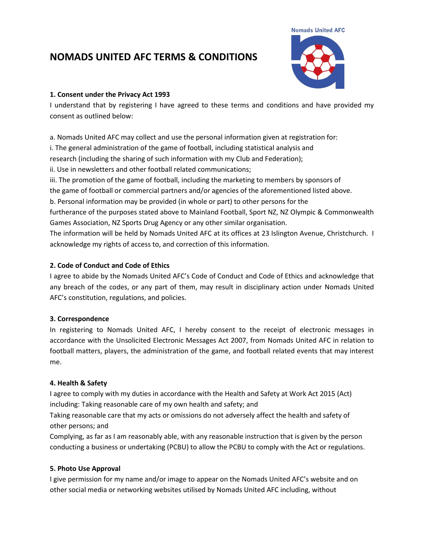# **NOMADS UNITED AFC TERMS & CONDITIONS**



#### **1. Consent under the Privacy Act 1993**

I understand that by registering I have agreed to these terms and conditions and have provided my consent as outlined below:

a. Nomads United AFC may collect and use the personal information given at registration for:

i. The general administration of the game of football, including statistical analysis and

research (including the sharing of such information with my Club and Federation);

ii. Use in newsletters and other football related communications;

iii. The promotion of the game of football, including the marketing to members by sponsors of

the game of football or commercial partners and/or agencies of the aforementioned listed above.

b. Personal information may be provided (in whole or part) to other persons for the

furtherance of the purposes stated above to Mainland Football, Sport NZ, NZ Olympic & Commonwealth Games Association, NZ Sports Drug Agency or any other similar organisation.

The information will be held by Nomads United AFC at its offices at 23 Islington Avenue, Christchurch. I acknowledge my rights of access to, and correction of this information.

## **2. Code of Conduct and Code of Ethics**

I agree to abide by the Nomads United AFC's Code of Conduct and Code of Ethics and acknowledge that any breach of the codes, or any part of them, may result in disciplinary action under Nomads United AFC's constitution, regulations, and policies.

### **3. Correspondence**

In registering to Nomads United AFC, I hereby consent to the receipt of electronic messages in accordance with the Unsolicited Electronic Messages Act 2007, from Nomads United AFC in relation to football matters, players, the administration of the game, and football related events that may interest me.

### **4. Health & Safety**

I agree to comply with my duties in accordance with the Health and Safety at Work Act 2015 (Act) including: Taking reasonable care of my own health and safety; and

Taking reasonable care that my acts or omissions do not adversely affect the health and safety of other persons; and

Complying, as far as I am reasonably able, with any reasonable instruction that is given by the person conducting a business or undertaking (PCBU) to allow the PCBU to comply with the Act or regulations.

### **5. Photo Use Approval**

I give permission for my name and/or image to appear on the Nomads United AFC's website and on other social media or networking websites utilised by Nomads United AFC including, without